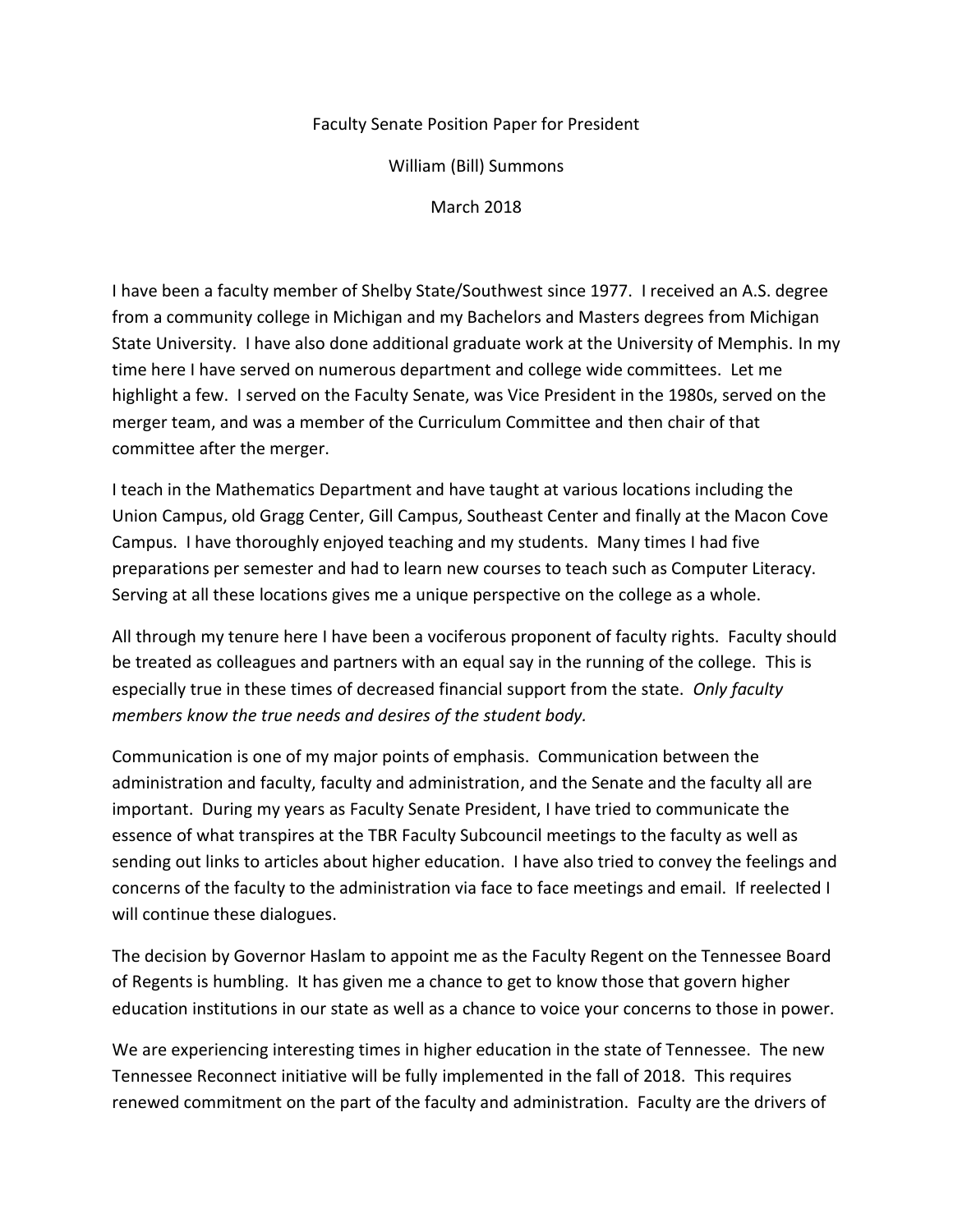## Faculty Senate Position Paper for President

William (Bill) Summons

March 2018

I have been a faculty member of Shelby State/Southwest since 1977. I received an A.S. degree from a community college in Michigan and my Bachelors and Masters degrees from Michigan State University. I have also done additional graduate work at the University of Memphis. In my time here I have served on numerous department and college wide committees. Let me highlight a few. I served on the Faculty Senate, was Vice President in the 1980s, served on the merger team, and was a member of the Curriculum Committee and then chair of that committee after the merger.

I teach in the Mathematics Department and have taught at various locations including the Union Campus, old Gragg Center, Gill Campus, Southeast Center and finally at the Macon Cove Campus. I have thoroughly enjoyed teaching and my students. Many times I had five preparations per semester and had to learn new courses to teach such as Computer Literacy. Serving at all these locations gives me a unique perspective on the college as a whole.

All through my tenure here I have been a vociferous proponent of faculty rights. Faculty should be treated as colleagues and partners with an equal say in the running of the college. This is especially true in these times of decreased financial support from the state. *Only faculty members know the true needs and desires of the student body.*

Communication is one of my major points of emphasis. Communication between the administration and faculty, faculty and administration, and the Senate and the faculty all are important. During my years as Faculty Senate President, I have tried to communicate the essence of what transpires at the TBR Faculty Subcouncil meetings to the faculty as well as sending out links to articles about higher education. I have also tried to convey the feelings and concerns of the faculty to the administration via face to face meetings and email. If reelected I will continue these dialogues.

The decision by Governor Haslam to appoint me as the Faculty Regent on the Tennessee Board of Regents is humbling. It has given me a chance to get to know those that govern higher education institutions in our state as well as a chance to voice your concerns to those in power.

We are experiencing interesting times in higher education in the state of Tennessee. The new Tennessee Reconnect initiative will be fully implemented in the fall of 2018. This requires renewed commitment on the part of the faculty and administration. Faculty are the drivers of